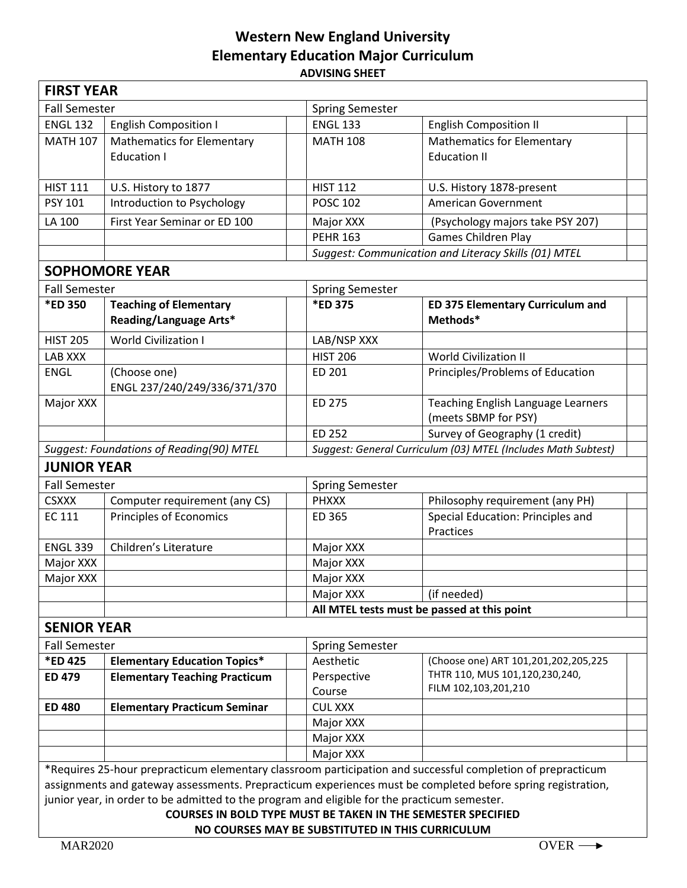## **Western New England University Elementary Education Major Curriculum ADVISING SHEET**

| <b>FIRST YEAR</b>                                                                                                                                                                                                                                                                                                                                                                                                                                     |                                                         |                                                               |                                                            |
|-------------------------------------------------------------------------------------------------------------------------------------------------------------------------------------------------------------------------------------------------------------------------------------------------------------------------------------------------------------------------------------------------------------------------------------------------------|---------------------------------------------------------|---------------------------------------------------------------|------------------------------------------------------------|
| <b>Fall Semester</b>                                                                                                                                                                                                                                                                                                                                                                                                                                  |                                                         | <b>Spring Semester</b>                                        |                                                            |
| <b>ENGL 132</b>                                                                                                                                                                                                                                                                                                                                                                                                                                       | <b>English Composition I</b>                            | <b>ENGL 133</b>                                               | <b>English Composition II</b>                              |
| <b>MATH 107</b>                                                                                                                                                                                                                                                                                                                                                                                                                                       | <b>Mathematics for Elementary</b><br><b>Education I</b> | <b>MATH 108</b>                                               | <b>Mathematics for Elementary</b><br><b>Education II</b>   |
| <b>HIST 111</b>                                                                                                                                                                                                                                                                                                                                                                                                                                       | U.S. History to 1877                                    | <b>HIST 112</b>                                               | U.S. History 1878-present                                  |
| <b>PSY 101</b>                                                                                                                                                                                                                                                                                                                                                                                                                                        | Introduction to Psychology                              | <b>POSC 102</b>                                               | <b>American Government</b>                                 |
| LA 100                                                                                                                                                                                                                                                                                                                                                                                                                                                | First Year Seminar or ED 100                            | Major XXX                                                     | (Psychology majors take PSY 207)                           |
|                                                                                                                                                                                                                                                                                                                                                                                                                                                       |                                                         | <b>PEHR 163</b>                                               | Games Children Play                                        |
|                                                                                                                                                                                                                                                                                                                                                                                                                                                       |                                                         |                                                               | Suggest: Communication and Literacy Skills (01) MTEL       |
| <b>SOPHOMORE YEAR</b>                                                                                                                                                                                                                                                                                                                                                                                                                                 |                                                         |                                                               |                                                            |
| <b>Fall Semester</b>                                                                                                                                                                                                                                                                                                                                                                                                                                  |                                                         | <b>Spring Semester</b>                                        |                                                            |
| <b>*ED 350</b>                                                                                                                                                                                                                                                                                                                                                                                                                                        | <b>Teaching of Elementary</b><br>Reading/Language Arts* | *ED 375                                                       | <b>ED 375 Elementary Curriculum and</b><br>Methods*        |
| <b>HIST 205</b>                                                                                                                                                                                                                                                                                                                                                                                                                                       | <b>World Civilization I</b>                             | LAB/NSP XXX                                                   |                                                            |
| LAB XXX                                                                                                                                                                                                                                                                                                                                                                                                                                               |                                                         | <b>HIST 206</b>                                               | <b>World Civilization II</b>                               |
| <b>ENGL</b>                                                                                                                                                                                                                                                                                                                                                                                                                                           | (Choose one)<br>ENGL 237/240/249/336/371/370            | ED 201                                                        | Principles/Problems of Education                           |
| Major XXX                                                                                                                                                                                                                                                                                                                                                                                                                                             |                                                         | ED 275                                                        | Teaching English Language Learners<br>(meets SBMP for PSY) |
|                                                                                                                                                                                                                                                                                                                                                                                                                                                       |                                                         | ED 252                                                        | Survey of Geography (1 credit)                             |
| Suggest: Foundations of Reading(90) MTEL                                                                                                                                                                                                                                                                                                                                                                                                              |                                                         | Suggest: General Curriculum (03) MTEL (Includes Math Subtest) |                                                            |
| <b>JUNIOR YEAR</b>                                                                                                                                                                                                                                                                                                                                                                                                                                    |                                                         |                                                               |                                                            |
| <b>Fall Semester</b>                                                                                                                                                                                                                                                                                                                                                                                                                                  |                                                         | <b>Spring Semester</b>                                        |                                                            |
| <b>CSXXX</b>                                                                                                                                                                                                                                                                                                                                                                                                                                          | Computer requirement (any CS)                           | <b>PHXXX</b>                                                  | Philosophy requirement (any PH)                            |
| <b>EC 111</b>                                                                                                                                                                                                                                                                                                                                                                                                                                         | Principles of Economics                                 | ED 365                                                        | Special Education: Principles and<br>Practices             |
| <b>ENGL 339</b>                                                                                                                                                                                                                                                                                                                                                                                                                                       | Children's Literature                                   | Major XXX                                                     |                                                            |
| Major XXX                                                                                                                                                                                                                                                                                                                                                                                                                                             |                                                         | Major XXX                                                     |                                                            |
| Major XXX                                                                                                                                                                                                                                                                                                                                                                                                                                             |                                                         | Major XXX                                                     |                                                            |
|                                                                                                                                                                                                                                                                                                                                                                                                                                                       |                                                         | Major XXX                                                     | (if needed)                                                |
|                                                                                                                                                                                                                                                                                                                                                                                                                                                       |                                                         | All MTEL tests must be passed at this point                   |                                                            |
| <b>SENIOR YEAR</b>                                                                                                                                                                                                                                                                                                                                                                                                                                    |                                                         |                                                               |                                                            |
| <b>Fall Semester</b>                                                                                                                                                                                                                                                                                                                                                                                                                                  |                                                         | <b>Spring Semester</b>                                        |                                                            |
| *ED 425                                                                                                                                                                                                                                                                                                                                                                                                                                               | <b>Elementary Education Topics*</b>                     | Aesthetic                                                     | (Choose one) ART 101,201,202,205,225                       |
| <b>ED 479</b>                                                                                                                                                                                                                                                                                                                                                                                                                                         | <b>Elementary Teaching Practicum</b>                    | Perspective                                                   | THTR 110, MUS 101,120,230,240,                             |
|                                                                                                                                                                                                                                                                                                                                                                                                                                                       |                                                         | Course                                                        | FILM 102,103,201,210                                       |
| <b>ED 480</b>                                                                                                                                                                                                                                                                                                                                                                                                                                         | <b>Elementary Practicum Seminar</b>                     | <b>CUL XXX</b>                                                |                                                            |
|                                                                                                                                                                                                                                                                                                                                                                                                                                                       |                                                         | Major XXX                                                     |                                                            |
|                                                                                                                                                                                                                                                                                                                                                                                                                                                       |                                                         | Major XXX                                                     |                                                            |
|                                                                                                                                                                                                                                                                                                                                                                                                                                                       |                                                         | Major XXX                                                     |                                                            |
| *Requires 25-hour prepracticum elementary classroom participation and successful completion of prepracticum<br>assignments and gateway assessments. Prepracticum experiences must be completed before spring registration,<br>junior year, in order to be admitted to the program and eligible for the practicum semester.<br><b>COURSES IN BOLD TYPE MUST BE TAKEN IN THE SEMESTER SPECIFIED</b><br>NO COURSES MAY BE SUBSTITUTED IN THIS CURRICULUM |                                                         |                                                               |                                                            |